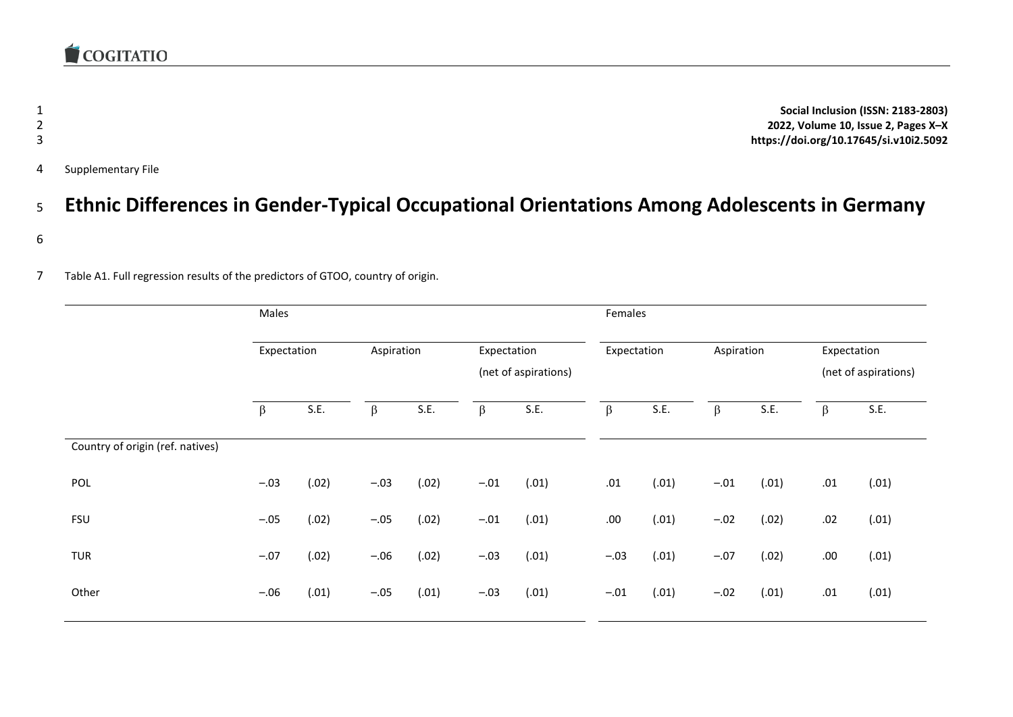**Social Inclusion (ISSN: 2183-2803) 2022, Volume 10, Issue 2, Pages X–X https://doi.org/10.17645/si.v10i2.5092** Supplementary File

## <sup>5</sup> **Ethnic Differences in Gender-Typical Occupational Orientations Among Adolescents in Germany**

- 6
- 7 Table A1. Full regression results of the predictors of GTOO, country of origin.

|                                  | Males       |       |            |       |                                     | Females |             |       |            |       |                                     |       |
|----------------------------------|-------------|-------|------------|-------|-------------------------------------|---------|-------------|-------|------------|-------|-------------------------------------|-------|
|                                  | Expectation |       | Aspiration |       | Expectation<br>(net of aspirations) |         | Expectation |       | Aspiration |       | Expectation<br>(net of aspirations) |       |
|                                  | $\beta$     | S.E.  | $\beta$    | S.E.  | $\beta$                             | S.E.    | $\beta$     | S.E.  | $\beta$    | S.E.  | $\beta$                             | S.E.  |
| Country of origin (ref. natives) |             |       |            |       |                                     |         |             |       |            |       |                                     |       |
| POL                              | $-.03$      | (.02) | $-.03$     | (.02) | $-.01$                              | (.01)   | $.01\,$     | (.01) | $-.01$     | (.01) | $.01\,$                             | (.01) |
| <b>FSU</b>                       | $-.05$      | (.02) | $-.05$     | (.02) | $-.01$                              | (.01)   | .00.        | (.01) | $-.02$     | (.02) | .02                                 | (.01) |
| <b>TUR</b>                       | $-.07$      | (.02) | $-.06$     | (.02) | $-.03$                              | (.01)   | $-.03$      | (.01) | $-.07$     | (.02) | .00                                 | (.01) |
| Other                            | $-.06$      | (.01) | $-.05$     | (.01) | $-.03$                              | (.01)   | $-.01$      | (.01) | $-.02$     | (.01) | .01                                 | (.01) |
|                                  |             |       |            |       |                                     |         |             |       |            |       |                                     |       |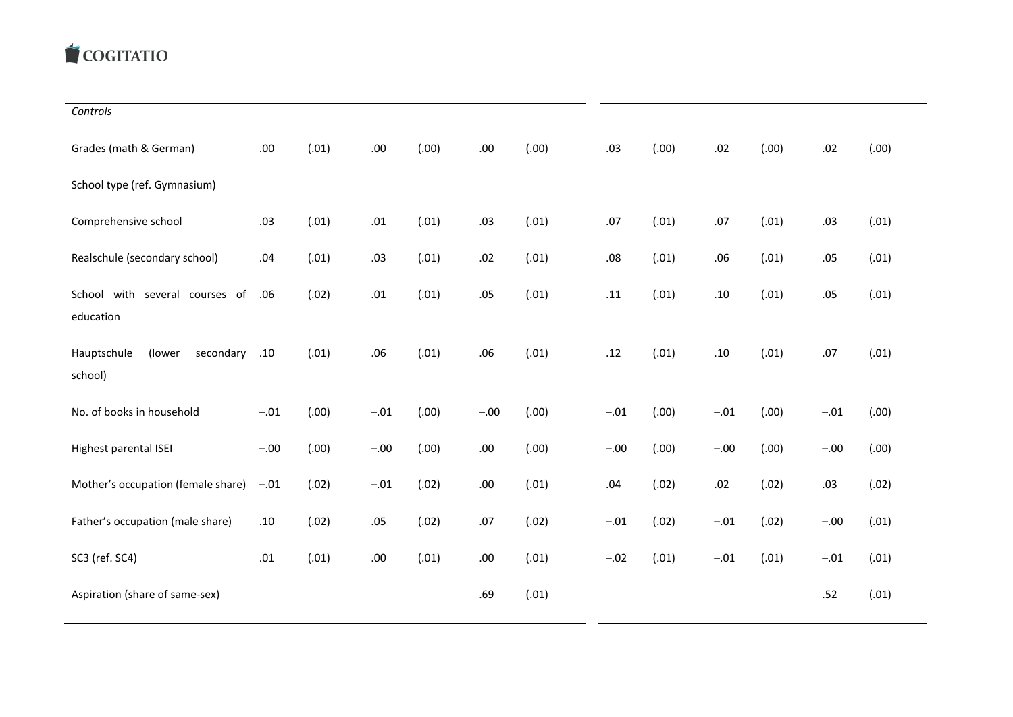## COGITATIO

*Controls*

| Grades (math & German)               | .00.   | (.01) | .00.   | (00.)  | .00.   | (.00) | .03    | (.00) | .02    | (.00) | .02    | (.00) |
|--------------------------------------|--------|-------|--------|--------|--------|-------|--------|-------|--------|-------|--------|-------|
| School type (ref. Gymnasium)         |        |       |        |        |        |       |        |       |        |       |        |       |
| Comprehensive school                 | .03    | (.01) | .01    | (.01)  | .03    | (.01) | .07    | (.01) | .07    | (.01) | .03    | (.01) |
| Realschule (secondary school)        | .04    | (.01) | .03    | (.01)  | .02    | (.01) | .08    | (.01) | .06    | (.01) | .05    | (.01) |
| several courses of<br>School<br>with | .06    | (.02) | .01    | (.01)  | .05    | (.01) | .11    | (.01) | .10    | (.01) | .05    | (.01) |
| education                            |        |       |        |        |        |       |        |       |        |       |        |       |
| (lower<br>Hauptschule<br>secondary   | .10    | (.01) | .06    | (.01)  | .06    | (.01) | .12    | (.01) | .10    | (.01) | .07    | (.01) |
| school)                              |        |       |        |        |        |       |        |       |        |       |        |       |
| No. of books in household            | $-.01$ | (.00) | $-.01$ | (0.00) | $-.00$ | (.00) | $-.01$ | (.00) | $-.01$ | (.00) | $-.01$ | (.00) |
| Highest parental ISEI                | $-.00$ | (.00) | $-.00$ | (.00)  | .00.   | (.00) | $-.00$ | (.00) | $-.00$ | (.00) | $-.00$ | (.00) |
| Mother's occupation (female share)   | $-.01$ | (.02) | $-.01$ | (.02)  | .00.   | (.01) | .04    | (.02) | .02    | (.02) | .03    | (.02) |
| Father's occupation (male share)     | .10    | (.02) | .05    | (.02)  | .07    | (.02) | $-.01$ | (.02) | $-.01$ | (.02) | $-.00$ | (.01) |
| SC3 (ref. SC4)                       | .01    | (.01) | .00.   | (.01)  | .00.   | (.01) | $-.02$ | (.01) | $-.01$ | (.01) | $-.01$ | (.01) |
| Aspiration (share of same-sex)       |        |       |        |        | .69    | (.01) |        |       |        |       | .52    | (.01) |
|                                      |        |       |        |        |        |       |        |       |        |       |        |       |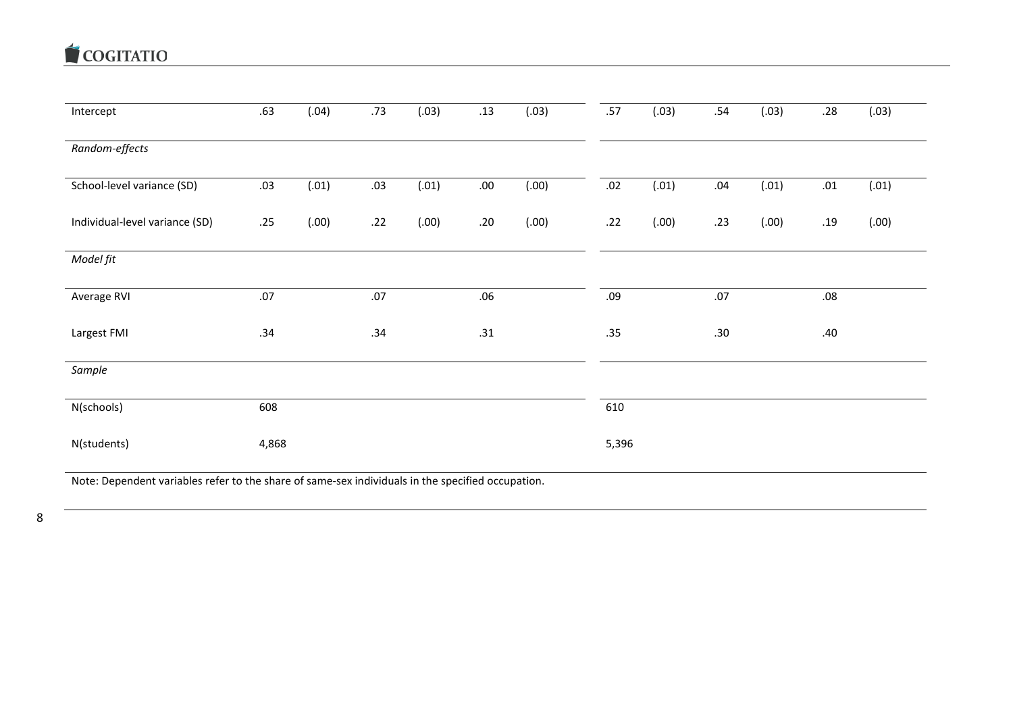COGITATIO

| Intercept                                                                                         | .63   | (.04) | .73 | (.03) | .13      | (.03) | .57   | (.03)  | .54     | (.03) | .28     | (.03)  |
|---------------------------------------------------------------------------------------------------|-------|-------|-----|-------|----------|-------|-------|--------|---------|-------|---------|--------|
| Random-effects                                                                                    |       |       |     |       |          |       |       |        |         |       |         |        |
| School-level variance (SD)                                                                        | .03   | (.01) | .03 | (.01) | $.00 \,$ | (.00) | .02   | (.01)  | $.04\,$ | (.01) | $.01\,$ | (.01)  |
| Individual-level variance (SD)                                                                    | .25   | (.00) | .22 | (.00) | .20      | (.00) | .22   | (0.00) | .23     | (.00) | .19     | (0.00) |
| Model fit                                                                                         |       |       |     |       |          |       |       |        |         |       |         |        |
| Average RVI                                                                                       | .07   |       | .07 |       | .06      |       | .09   |        | .07     |       | .08     |        |
| Largest FMI                                                                                       | .34   |       | .34 |       | .31      |       | .35   |        | .30     |       | .40     |        |
| Sample                                                                                            |       |       |     |       |          |       |       |        |         |       |         |        |
| N(schools)                                                                                        | 608   |       |     |       |          |       | 610   |        |         |       |         |        |
| N(students)                                                                                       | 4,868 |       |     |       |          |       | 5,396 |        |         |       |         |        |
| Note: Dependent variables refer to the share of same-sex individuals in the specified occupation. |       |       |     |       |          |       |       |        |         |       |         |        |

8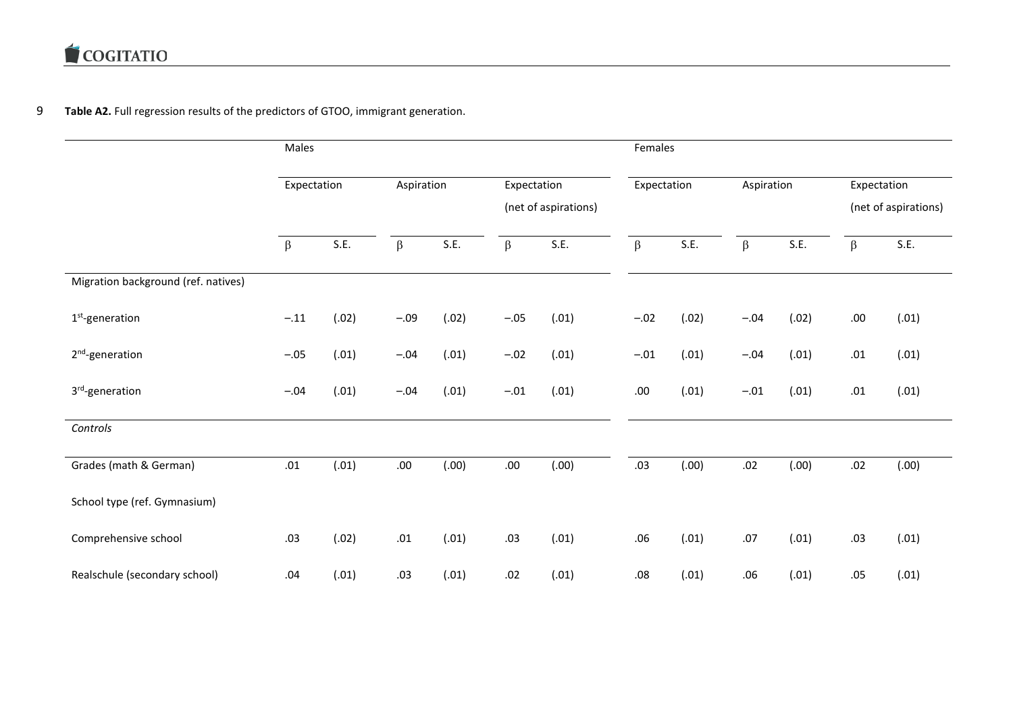## 9 **Table A2.** Full regression results of the predictors of GTOO, immigrant generation.

|                                     | Males       |       |                           |       |                      | Females |                           |        |         |             |                      |       |
|-------------------------------------|-------------|-------|---------------------------|-------|----------------------|---------|---------------------------|--------|---------|-------------|----------------------|-------|
|                                     | Expectation |       | Aspiration<br>Expectation |       |                      |         | Aspiration<br>Expectation |        |         | Expectation |                      |       |
|                                     |             |       |                           |       | (net of aspirations) |         |                           |        |         |             | (net of aspirations) |       |
|                                     | $\beta$     | S.E.  | $\beta$                   | S.E.  | $\beta$              | S.E.    | $\beta$                   | S.E.   | $\beta$ | S.E.        | $\beta$              | S.E.  |
| Migration background (ref. natives) |             |       |                           |       |                      |         |                           |        |         |             |                      |       |
| $1st$ -generation                   | $-.11$      | (.02) | $-.09$                    | (.02) | $-.05$               | (.01)   | $-.02$                    | (.02)  | $-.04$  | (.02)       | .00                  | (.01) |
| 2 <sup>nd</sup> -generation         | $-.05$      | (.01) | $-.04$                    | (.01) | $-.02$               | (.01)   | $-.01$                    | (.01)  | $-.04$  | (.01)       | .01                  | (.01) |
| 3rd-generation                      | $-.04$      | (.01) | $-.04$                    | (.01) | $-.01$               | (.01)   | .00                       | (.01)  | $-.01$  | (.01)       | .01                  | (.01) |
| Controls                            |             |       |                           |       |                      |         |                           |        |         |             |                      |       |
| Grades (math & German)              | .01         | (.01) | .00.                      | (.00) | .00.                 | (.00)   | .03                       | (0.00) | .02     | (.00)       | .02                  | (.00) |
| School type (ref. Gymnasium)        |             |       |                           |       |                      |         |                           |        |         |             |                      |       |
| Comprehensive school                | .03         | (.02) | .01                       | (.01) | .03                  | (.01)   | .06                       | (.01)  | .07     | (.01)       | .03                  | (.01) |
| Realschule (secondary school)       | .04         | (.01) | .03                       | (.01) | .02                  | (.01)   | .08                       | (.01)  | .06     | (.01)       | .05                  | (.01) |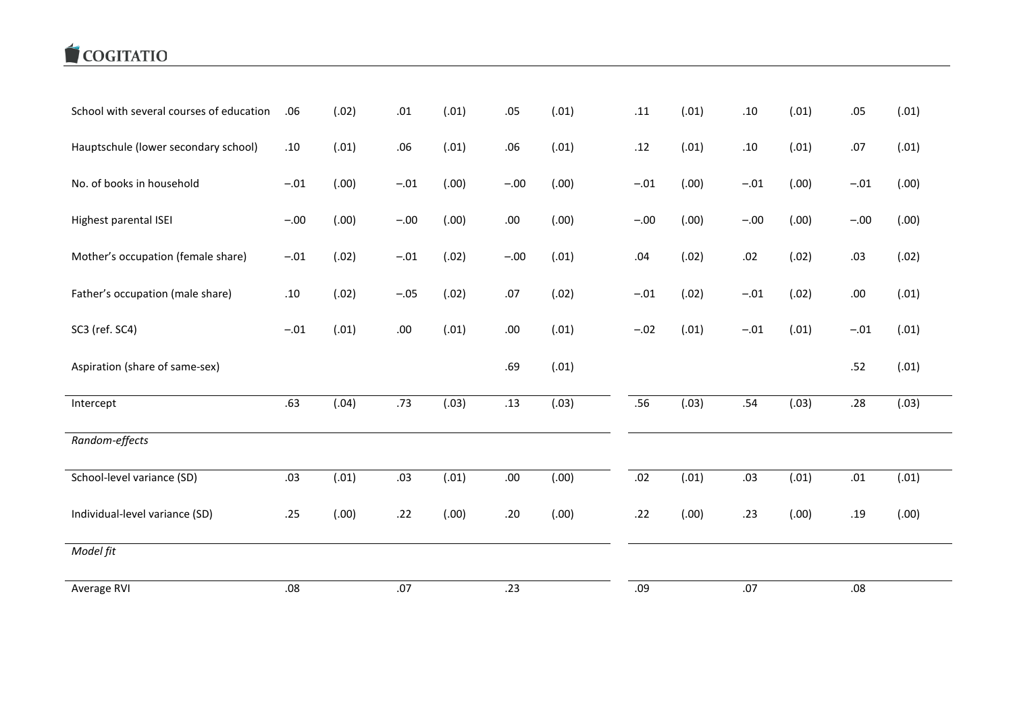## COGITATIO

| School with several courses of education | .06    | (.02) | .01    | (.01) | .05     | (.01) | .11    | (.01) | .10     | (.01) | .05     | (.01) |
|------------------------------------------|--------|-------|--------|-------|---------|-------|--------|-------|---------|-------|---------|-------|
| Hauptschule (lower secondary school)     | .10    | (.01) | .06    | (.01) | .06     | (.01) | .12    | (.01) | $.10\,$ | (.01) | .07     | (.01) |
| No. of books in household                | $-.01$ | (.00) | $-.01$ | (.00) | $-.00$  | (.00) | $-.01$ | (.00) | $-.01$  | (.00) | $-.01$  | (.00) |
| Highest parental ISEI                    | $-.00$ | (.00) | $-.00$ | (.00) | .00.    | (.00) | $-.00$ | (.00) | $-.00$  | (.00) | $-.00$  | (.00) |
| Mother's occupation (female share)       | $-.01$ | (.02) | $-.01$ | (.02) | $-.00$  | (.01) | .04    | (.02) | .02     | (.02) | .03     | (.02) |
| Father's occupation (male share)         | .10    | (.02) | $-.05$ | (.02) | .07     | (.02) | $-.01$ | (.02) | $-.01$  | (.02) | .00     | (.01) |
| SC3 (ref. SC4)                           | $-.01$ | (.01) | .00    | (.01) | $.00\,$ | (.01) | $-.02$ | (.01) | $-.01$  | (.01) | $-.01$  | (.01) |
| Aspiration (share of same-sex)           |        |       |        |       | .69     | (.01) |        |       |         |       | .52     | (.01) |
| Intercept                                | .63    | (.04) | .73    | (.03) | .13     | (.03) | .56    | (.03) | .54     | (.03) | .28     | (.03) |
| Random-effects                           |        |       |        |       |         |       |        |       |         |       |         |       |
| School-level variance (SD)               | .03    | (.01) | .03    | (.01) | .00.    | (.00) | .02    | (.01) | .03     | (.01) | $.01\,$ | (.01) |
| Individual-level variance (SD)           | .25    | (.00) | .22    | (.00) | .20     | (.00) | .22    | (.00) | .23     | (.00) | .19     | (.00) |
| Model fit                                |        |       |        |       |         |       |        |       |         |       |         |       |
| Average RVI                              | .08    |       | .07    |       | .23     |       | .09    |       | .07     |       | .08     |       |